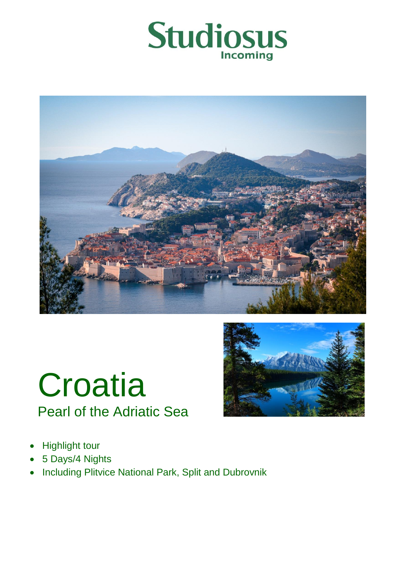







- Highlight tour
- 5 Days/4 Nights
- Including Plitvice National Park, Split and Dubrovnik